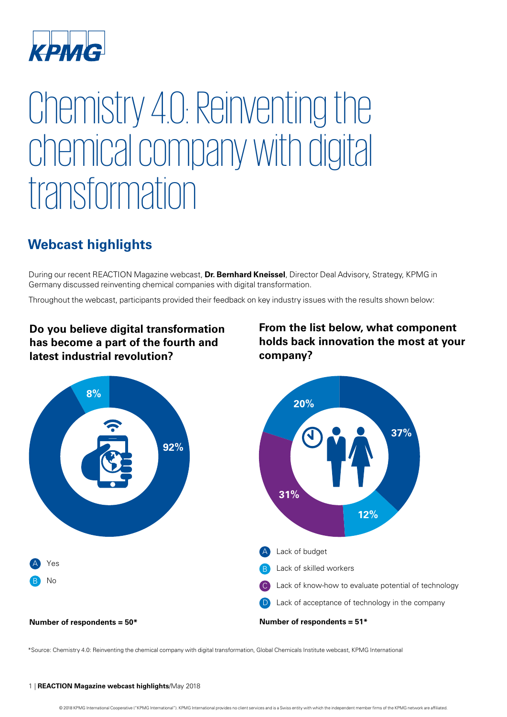

# Chemistry 4.0: Reinventing the chemical company with digital transformation

## **Webcast highlights**

During our recent REACTION Magazine webcast, **[Dr. Bernhard Kneissel](mailto:bkneissel@kpmg.com)**, Director Deal Advisory, Strategy, KPMG in Germany discussed reinventing chemical companies with digital transformation.

Throughout the webcast, participants provided their feedback on key industry issues with the results shown below:

## **Do you believe digital transformation has become a part of the fourth and latest industrial revolution?**

### **From the list below, what component holds back innovation the most at your company?**



\*Source: Chemistry 4.0: Reinventing the chemical company with digital transformation, Global Chemicals Institute webcast, KPMG International

#### 1 | **REACTION Magazine webcast highlights**/May 2018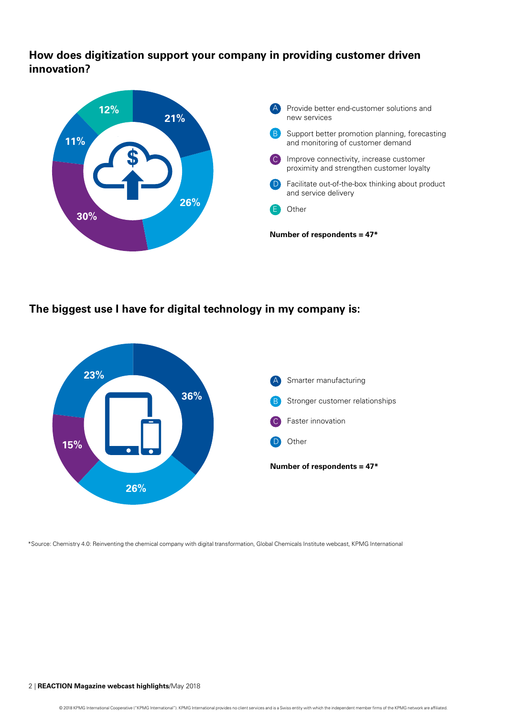**How does digitization support your company in providing customer driven innovation?**



**The biggest use I have for digital technology in my company is:**



\*Source: Chemistry 4.0: Reinventing the chemical company with digital transformation, Global Chemicals Institute webcast, KPMG International

#### 2 | **REACTION Magazine webcast highlights**/May 2018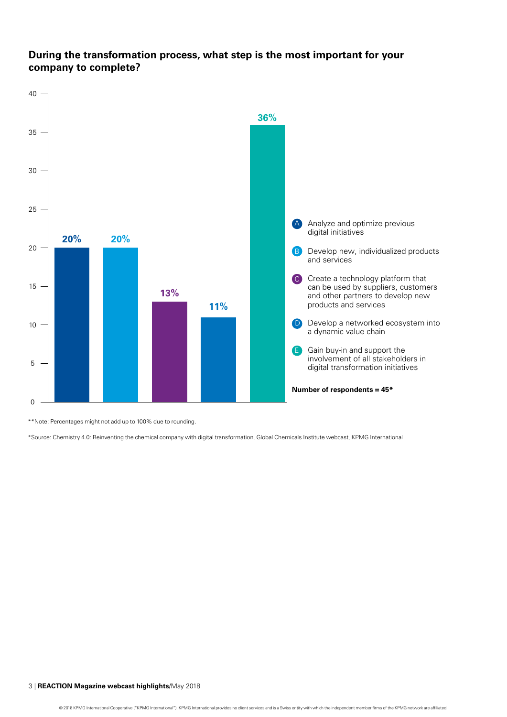### **During the transformation process, what step is the most important for your company to complete?**



\*\*Note: Percentages might not add up to 100% due to rounding.

\*Source: Chemistry 4.0: Reinventing the chemical company with digital transformation, Global Chemicals Institute webcast, KPMG International